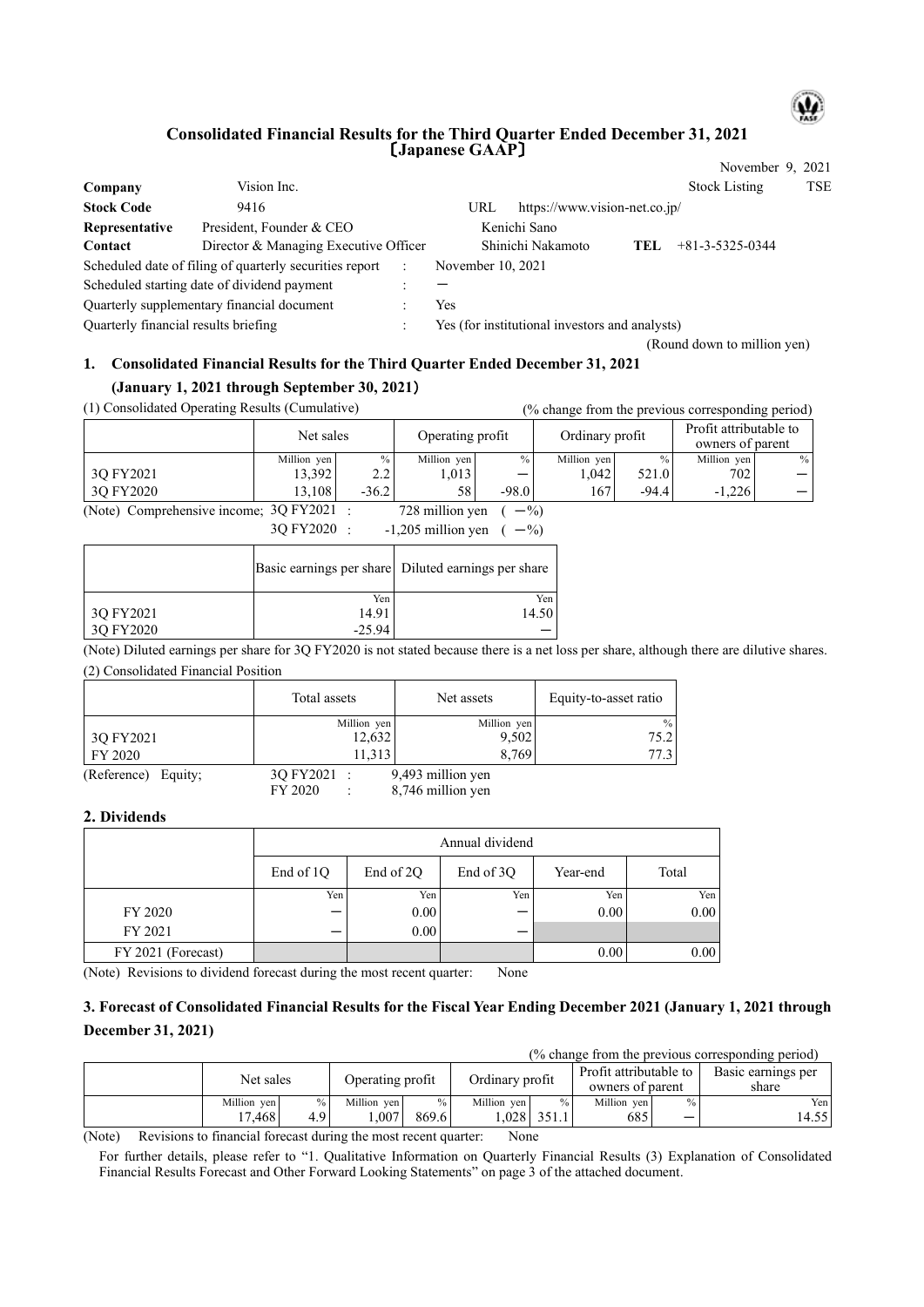

### **Consolidated Financial Results for the Third Quarter Ended December 31, 2021** 〔**Japanese GAAP**〕

|                                             |                                                         |     |                                                |                               |      | November 9, 2021            |            |
|---------------------------------------------|---------------------------------------------------------|-----|------------------------------------------------|-------------------------------|------|-----------------------------|------------|
| Company                                     | Vision Inc.                                             |     |                                                |                               |      | <b>Stock Listing</b>        | <b>TSE</b> |
| <b>Stock Code</b>                           | 9416                                                    |     | URL                                            | https://www.vision-net.co.jp/ |      |                             |            |
| Representative                              | President, Founder & CEO                                |     |                                                | Kenichi Sano                  |      |                             |            |
| Contact                                     | Director & Managing Executive Officer                   |     |                                                | Shinichi Nakamoto             | TEL. | $+81 - 3 - 5325 - 0344$     |            |
|                                             | Scheduled date of filing of quarterly securities report |     | November 10, 2021                              |                               |      |                             |            |
| Scheduled starting date of dividend payment |                                                         |     |                                                |                               |      |                             |            |
| Quarterly supplementary financial document  |                                                         | Yes |                                                |                               |      |                             |            |
| Quarterly financial results briefing        |                                                         |     | Yes (for institutional investors and analysts) |                               |      |                             |            |
|                                             |                                                         |     |                                                |                               |      | (Round down to million yen) |            |

# **1. Consolidated Financial Results for the Third Quarter Ended December 31, 2021**

## **(January 1, 2021 through September 30, 2021**)

| (1) Consolidated Operating Results (Cumulative) |                                 |               |                  |               |                 |         | (% change from the previous corresponding period) |      |
|-------------------------------------------------|---------------------------------|---------------|------------------|---------------|-----------------|---------|---------------------------------------------------|------|
|                                                 | Net sales                       |               | Operating profit |               | Ordinary profit |         | Profit attributable to<br>owners of parent        |      |
|                                                 | Million yen                     | $\frac{0}{0}$ | Million yen      | $\frac{0}{0}$ | Million yen     | $\%$ .  | Million yen                                       | $\%$ |
| 3O FY2021                                       | 13.392                          | 2.2           | 1,013            |               | 1.042           | 521.0   | 702                                               |      |
| 3O FY2020                                       | 13.108                          | $-36.2$       | 58               | $-98.0$       | 167             | $-94.4$ | $-1.226$                                          |      |
| $\Delta$ $\rightarrow$ $\Delta$                 | 20 F172021<br>$700 - 11$<br>0/2 |               |                  |               |                 |         |                                                   |      |

(Note) Comprehensive income;  $3Q FY2021$  : 728 million yen ( $-$ %)  $3Q FY2020$  : -1,205 million yen (  $-$ %)

|           |          | Basic earnings per share Diluted earnings per share |
|-----------|----------|-----------------------------------------------------|
|           | Yen      | Yen                                                 |
| 3Q FY2021 | 14.91    | 14.50                                               |
| 3Q FY2020 | $-25.94$ |                                                     |

(Note) Diluted earnings per share for 3Q FY2020 is not stated because there is a net loss per share, although there are dilutive shares. (2) Consolidated Financial Position

|                               | Total assets | Net assets    | Equity-to-asset ratio |
|-------------------------------|--------------|---------------|-----------------------|
|                               | Million yen  | Million yen   | $\%$                  |
| 3Q FY2021                     | 12,632       | 9,502         | 75.21                 |
| FY 2020                       | 1.313        | 8.769         |                       |
| $\sqrt{D}$<br>$\sim$ $  \sim$ | 20T          | $0.102$ $111$ |                       |

(Reference) Equity; 3Q FY2021 : 9,493 million yen<br>FY 2020 : 8,746 million yen  $\therefore$  8,746 million yen

#### **2. Dividends**

|                    | Annual dividend  |           |           |          |       |  |  |  |
|--------------------|------------------|-----------|-----------|----------|-------|--|--|--|
|                    | End of 1Q        | End of 2Q | End of 3Q | Year-end | Total |  |  |  |
|                    | Yen <sub>1</sub> | Yen       | Yen       | Yen      | Yen   |  |  |  |
| FY 2020            |                  | 0.00      |           | 0.00     | 0.00  |  |  |  |
| FY 2021            |                  | 0.00      |           |          |       |  |  |  |
| FY 2021 (Forecast) |                  |           |           | 0.00     | 0.00  |  |  |  |

(Note) Revisions to dividend forecast during the most recent quarter: None

## **3. Forecast of Consolidated Financial Results for the Fiscal Year Ending December 2021 (January 1, 2021 through December 31, 2021)**

| (% change from the previous corresponding period) |      |                  |      |                 |      |                                            |      |                             |  |
|---------------------------------------------------|------|------------------|------|-----------------|------|--------------------------------------------|------|-----------------------------|--|
| Net sales                                         |      | Operating profit |      | Ordinary profit |      | Profit attributable to<br>owners of parent |      | Basic earnings per<br>share |  |
| Million yen                                       | $\%$ | Million yen      | $\%$ | Million ven     | $\%$ | Million yen                                | $\%$ | Yen                         |  |

 $17,468$  4.9 1,007 869.6 1,028 351.1 685 - 14.55

(Note) Revisions to financial forecast during the most recent quarter: None

For further details, please refer to "1. Qualitative Information on Quarterly Financial Results (3) Explanation of Consolidated Financial Results Forecast and Other Forward Looking Statements" on page 3 of the attached document.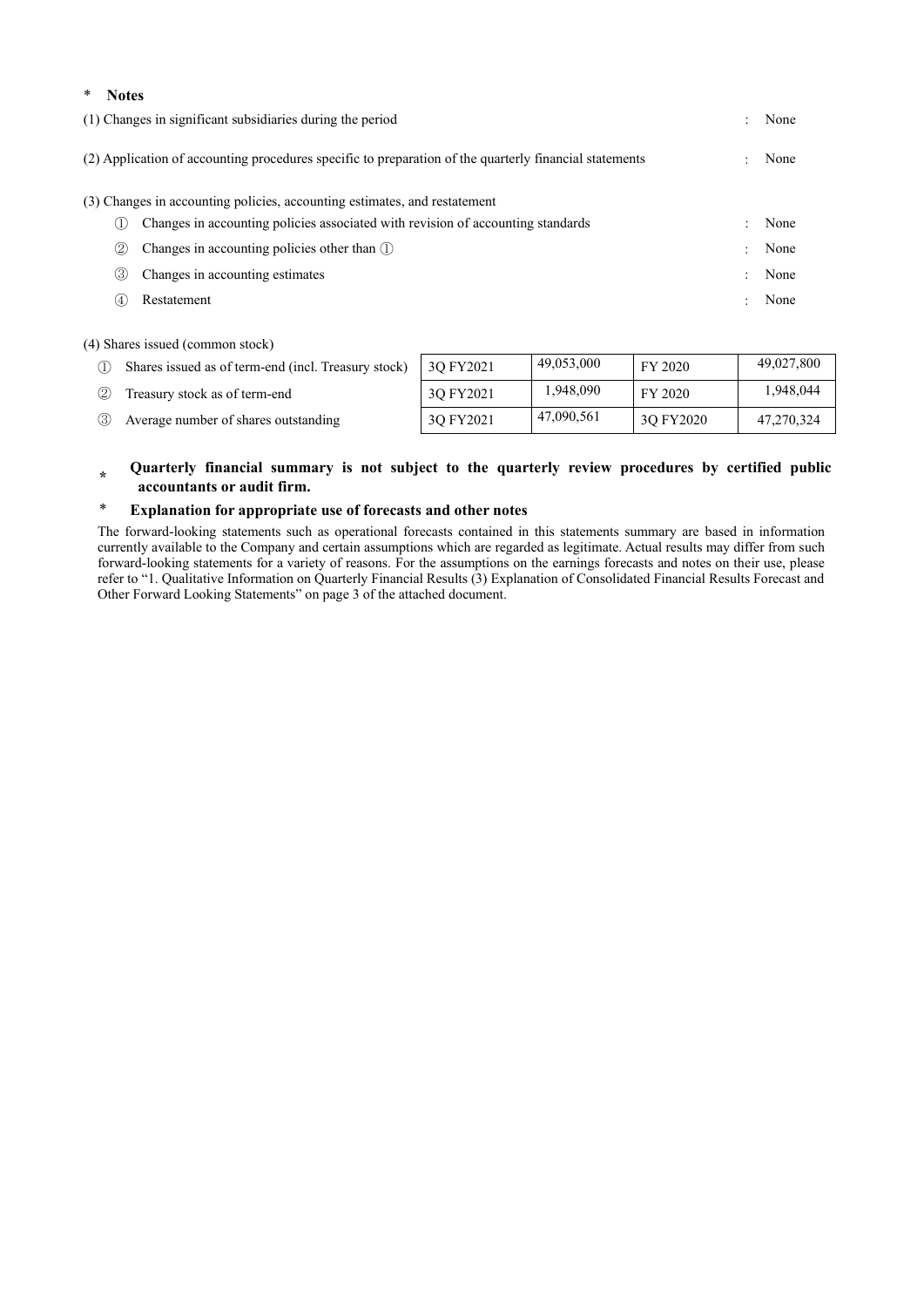| ∗                                                                                                              | <b>Notes</b>      |                                                                                 |           |      |  |  |  |
|----------------------------------------------------------------------------------------------------------------|-------------------|---------------------------------------------------------------------------------|-----------|------|--|--|--|
| (1) Changes in significant subsidiaries during the period<br>$\ddot{\phantom{0}}$                              |                   |                                                                                 |           |      |  |  |  |
| (2) Application of accounting procedures specific to preparation of the quarterly financial statements<br>None |                   |                                                                                 |           |      |  |  |  |
| (3) Changes in accounting policies, accounting estimates, and restatement                                      |                   |                                                                                 |           |      |  |  |  |
|                                                                                                                |                   | Changes in accounting policies associated with revision of accounting standards | $\bullet$ | None |  |  |  |
|                                                                                                                | $\left( 2\right)$ | Changes in accounting policies other than $\mathbb D$                           |           | None |  |  |  |
|                                                                                                                | (3)               | Changes in accounting estimates                                                 |           | None |  |  |  |
|                                                                                                                | (4)               | Restatement                                                                     |           | None |  |  |  |

(4) Shares issued (common stock)

|     | Shares issued as of term-end (incl. Treasury stock) | 30 FY2021 | 49.053.000 | FY 2020   | 49,027,800 |
|-----|-----------------------------------------------------|-----------|------------|-----------|------------|
| (2) | Treasury stock as of term-end                       | 3O FY2021 | 1,948,090  | FY 2020   | 1,948,044  |
| 3   | Average number of shares outstanding                | 30 FY2021 | 47,090,561 | 30 FY2020 | 47,270,324 |

#### **\* Quarterly financial summary is not subject to the quarterly review procedures by certified public accountants or audit firm.**

## \* **Explanation for appropriate use of forecasts and other notes**

The forward-looking statements such as operational forecasts contained in this statements summary are based in information currently available to the Company and certain assumptions which are regarded as legitimate. Actual results may differ from such forward-looking statements for a variety of reasons. For the assumptions on the earnings forecasts and notes on their use, please refer to "1. Qualitative Information on Quarterly Financial Results (3) Explanation of Consolidated Financial Results Forecast and Other Forward Looking Statements" on page 3 of the attached document.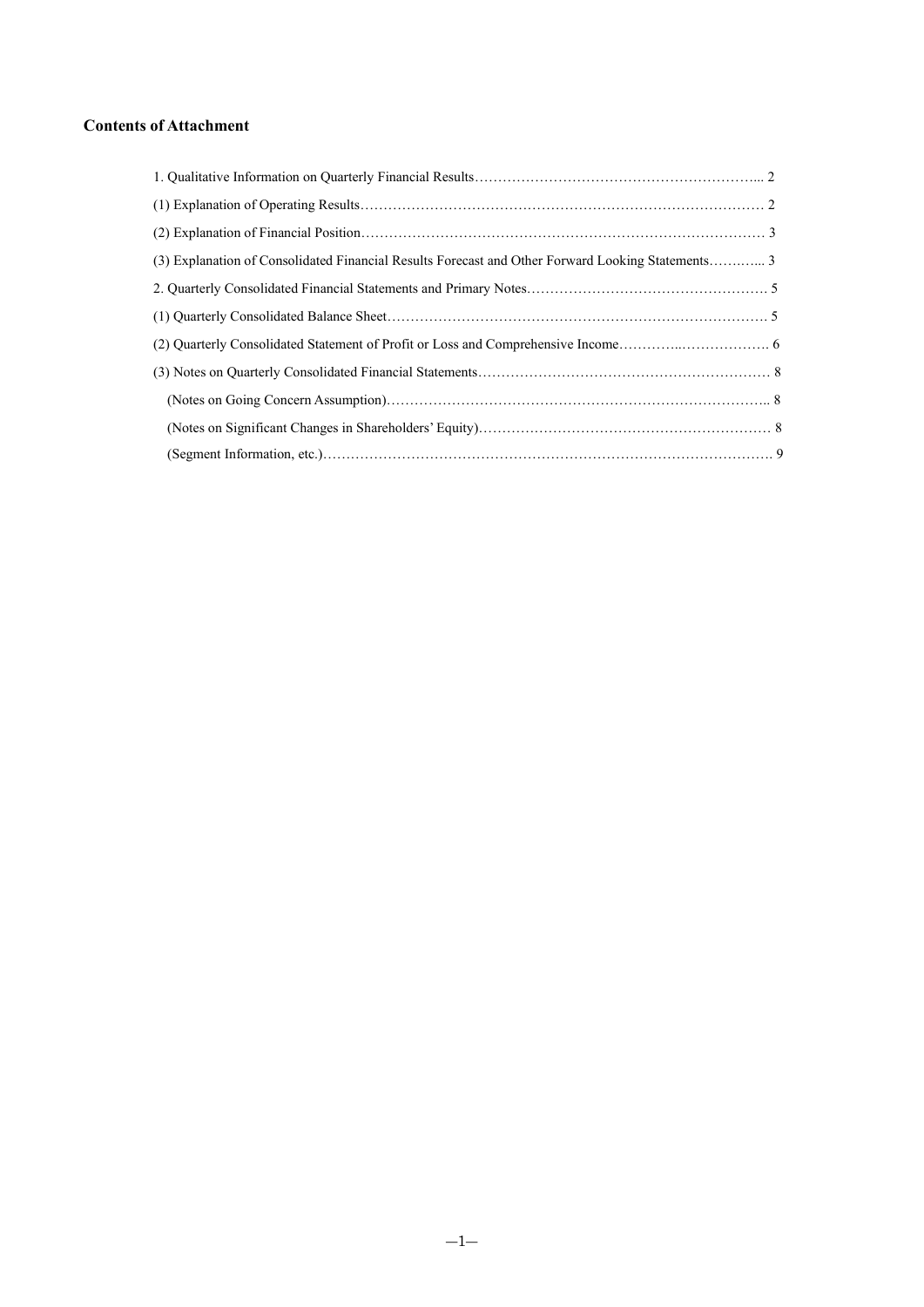## **Contents of Attachment**

| (3) Explanation of Consolidated Financial Results Forecast and Other Forward Looking Statements3 |  |
|--------------------------------------------------------------------------------------------------|--|
|                                                                                                  |  |
|                                                                                                  |  |
|                                                                                                  |  |
|                                                                                                  |  |
|                                                                                                  |  |
|                                                                                                  |  |
|                                                                                                  |  |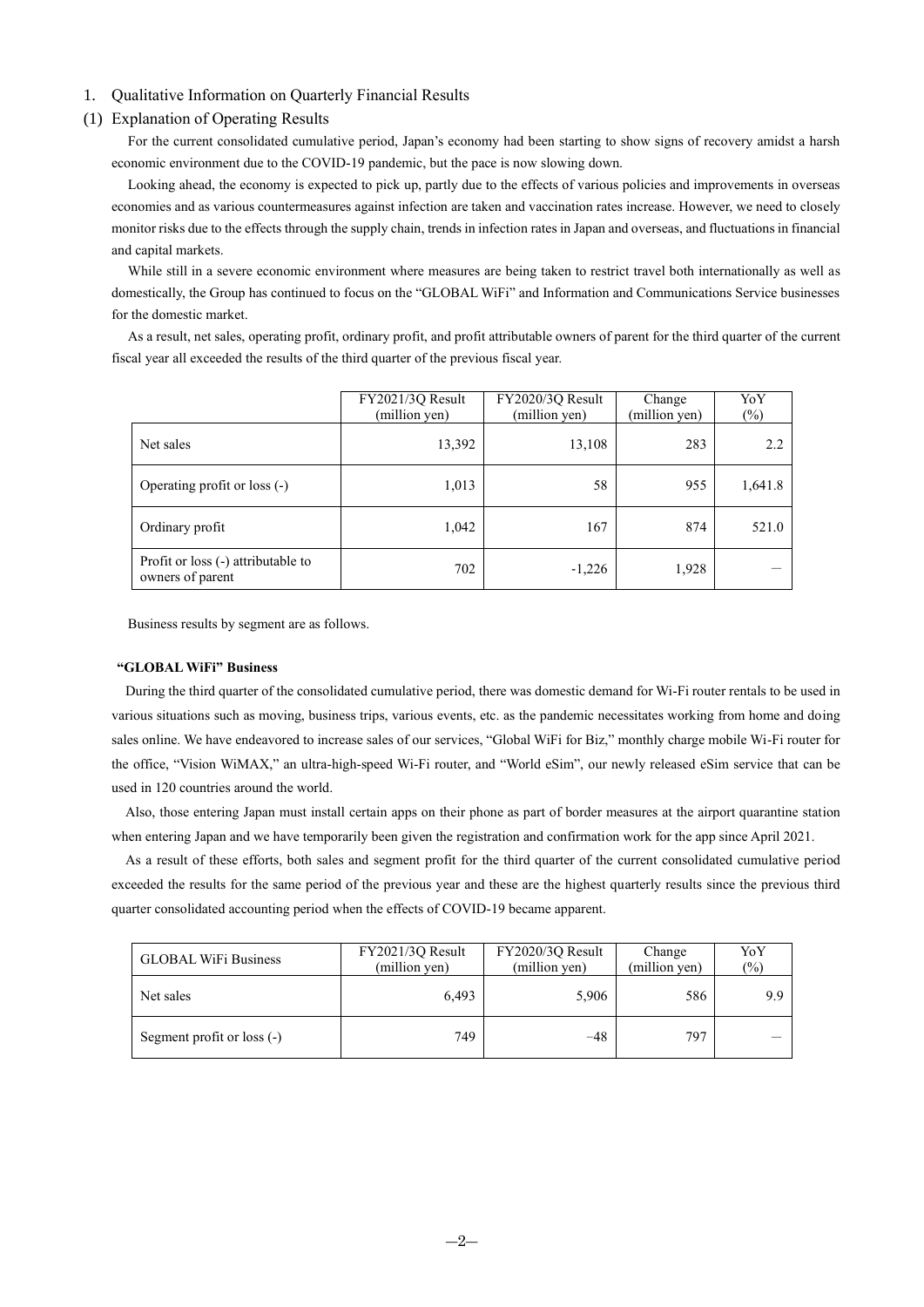### 1. Qualitative Information on Quarterly Financial Results

#### (1) Explanation of Operating Results

For the current consolidated cumulative period, Japan's economy had been starting to show signs of recovery amidst a harsh economic environment due to the COVID-19 pandemic, but the pace is now slowing down.

Looking ahead, the economy is expected to pick up, partly due to the effects of various policies and improvements in overseas economies and as various countermeasures against infection are taken and vaccination rates increase. However, we need to closely monitor risks due to the effects through the supply chain, trends in infection rates in Japan and overseas, and fluctuations in financial and capital markets.

While still in a severe economic environment where measures are being taken to restrict travel both internationally as well as domestically, the Group has continued to focus on the "GLOBAL WiFi" and Information and Communications Service businesses for the domestic market.

As a result, net sales, operating profit, ordinary profit, and profit attributable owners of parent for the third quarter of the current fiscal year all exceeded the results of the third quarter of the previous fiscal year.

|                                                        | FY2021/3Q Result<br>(million yen) | FY2020/3Q Result<br>(million yen) | Change<br>(million yen) | YoY<br>$(\%)$ |
|--------------------------------------------------------|-----------------------------------|-----------------------------------|-------------------------|---------------|
| Net sales                                              | 13,392                            | 13,108                            | 283                     | 2.2           |
| Operating profit or loss (-)                           | 1,013                             | 58                                | 955                     | 1,641.8       |
| Ordinary profit                                        | 1,042                             | 167                               | 874                     | 521.0         |
| Profit or loss (-) attributable to<br>owners of parent | 702                               | $-1,226$                          | 1,928                   |               |

Business results by segment are as follows.

#### **"GLOBAL WiFi" Business**

During the third quarter of the consolidated cumulative period, there was domestic demand for Wi-Fi router rentals to be used in various situations such as moving, business trips, various events, etc. as the pandemic necessitates working from home and doing sales online. We have endeavored to increase sales of our services, "Global WiFi for Biz," monthly charge mobile Wi-Fi router for the office, "Vision WiMAX," an ultra-high-speed Wi-Fi router, and "World eSim", our newly released eSim service that can be used in 120 countries around the world.

Also, those entering Japan must install certain apps on their phone as part of border measures at the airport quarantine station when entering Japan and we have temporarily been given the registration and confirmation work for the app since April 2021.

As a result of these efforts, both sales and segment profit for the third quarter of the current consolidated cumulative period exceeded the results for the same period of the previous year and these are the highest quarterly results since the previous third quarter consolidated accounting period when the effects of COVID-19 became apparent.

| <b>GLOBAL WiFi Business</b> | FY2021/3Q Result<br>(million yen) | FY2020/3Q Result<br>(million yen) | Change<br>(million yen) | YoY<br>(%) |  |
|-----------------------------|-----------------------------------|-----------------------------------|-------------------------|------------|--|
| Net sales                   | 6.493                             | 5,906                             | 586                     | 9.9        |  |
| Segment profit or loss (-)  | 749                               | $-48$                             | 797                     |            |  |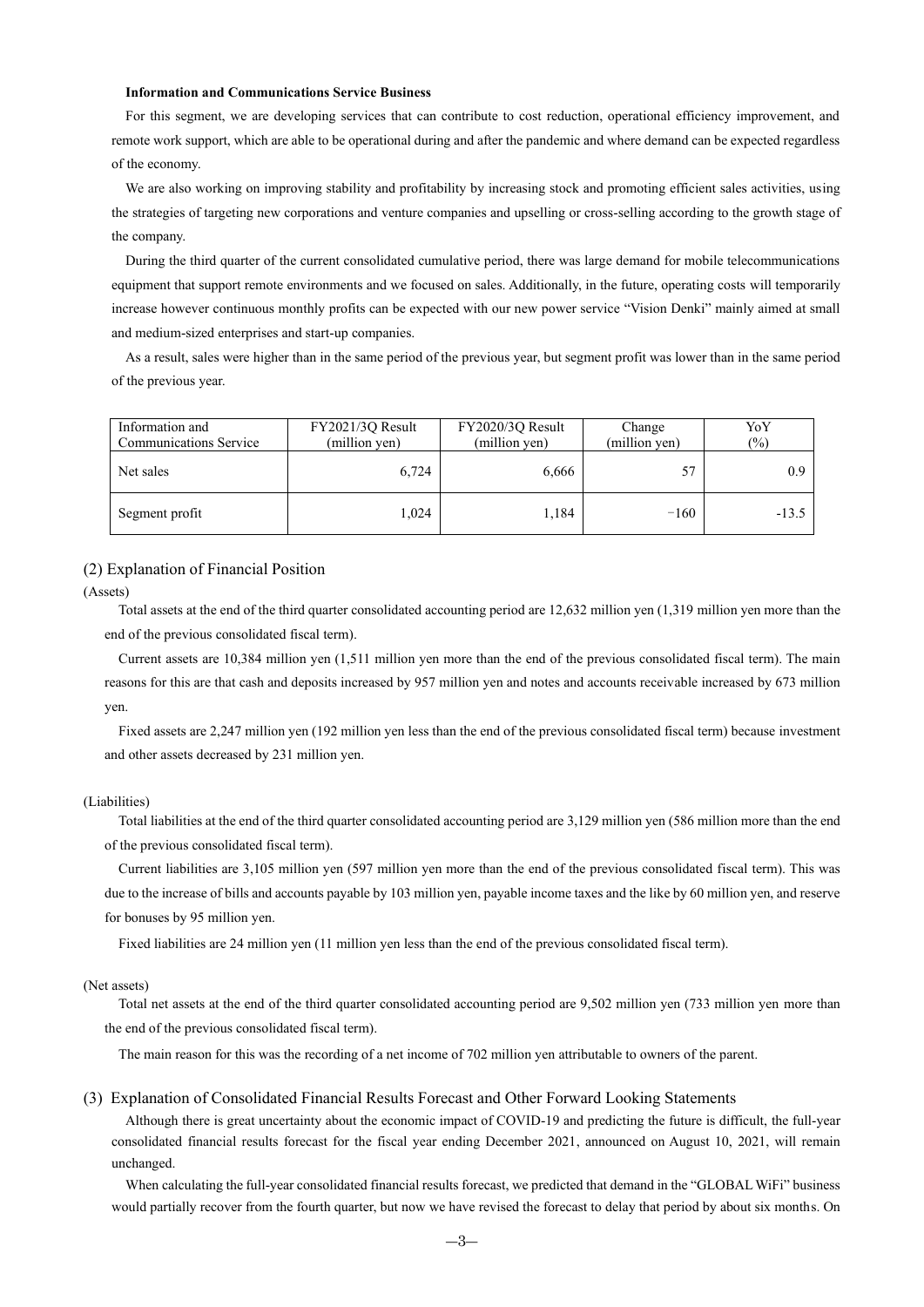#### **Information and Communications Service Business**

For this segment, we are developing services that can contribute to cost reduction, operational efficiency improvement, and remote work support, which are able to be operational during and after the pandemic and where demand can be expected regardless of the economy.

We are also working on improving stability and profitability by increasing stock and promoting efficient sales activities, using the strategies of targeting new corporations and venture companies and upselling or cross-selling according to the growth stage of the company.

During the third quarter of the current consolidated cumulative period, there was large demand for mobile telecommunications equipment that support remote environments and we focused on sales. Additionally, in the future, operating costs will temporarily increase however continuous monthly profits can be expected with our new power service "Vision Denki" mainly aimed at small and medium-sized enterprises and start-up companies.

As a result, sales were higher than in the same period of the previous year, but segment profit was lower than in the same period of the previous year.

| Information and<br><b>Communications Service</b> | FY2021/3Q Result<br>(million yen) | FY2020/3Q Result<br>(million yen) | Change<br>(million yen) | YoY<br>(%) |
|--------------------------------------------------|-----------------------------------|-----------------------------------|-------------------------|------------|
| Net sales                                        | 6,724                             | 6,666                             | 57                      | 0.9        |
| Segment profit                                   | 1.024                             | l.184                             | $-160$                  | $-13.5$    |

## (2) Explanation of Financial Position

(Assets)

Total assets at the end of the third quarter consolidated accounting period are 12,632 million yen (1,319 million yen more than the end of the previous consolidated fiscal term).

Current assets are 10,384 million yen (1,511 million yen more than the end of the previous consolidated fiscal term). The main reasons for this are that cash and deposits increased by 957 million yen and notes and accounts receivable increased by 673 million yen.

Fixed assets are 2,247 million yen (192 million yen less than the end of the previous consolidated fiscal term) because investment and other assets decreased by 231 million yen.

#### (Liabilities)

Total liabilities at the end of the third quarter consolidated accounting period are 3,129 million yen (586 million more than the end of the previous consolidated fiscal term).

Current liabilities are 3,105 million yen (597 million yen more than the end of the previous consolidated fiscal term). This was due to the increase of bills and accounts payable by 103 million yen, payable income taxes and the like by 60 million yen, and reserve for bonuses by 95 million yen.

Fixed liabilities are 24 million yen (11 million yen less than the end of the previous consolidated fiscal term).

#### (Net assets)

Total net assets at the end of the third quarter consolidated accounting period are 9,502 million yen (733 million yen more than the end of the previous consolidated fiscal term).

The main reason for this was the recording of a net income of 702 million yen attributable to owners of the parent.

#### (3) Explanation of Consolidated Financial Results Forecast and Other Forward Looking Statements

Although there is great uncertainty about the economic impact of COVID-19 and predicting the future is difficult, the full-year consolidated financial results forecast for the fiscal year ending December 2021, announced on August 10, 2021, will remain unchanged.

When calculating the full-year consolidated financial results forecast, we predicted that demand in the "GLOBAL WiFi" business would partially recover from the fourth quarter, but now we have revised the forecast to delay that period by about six months. On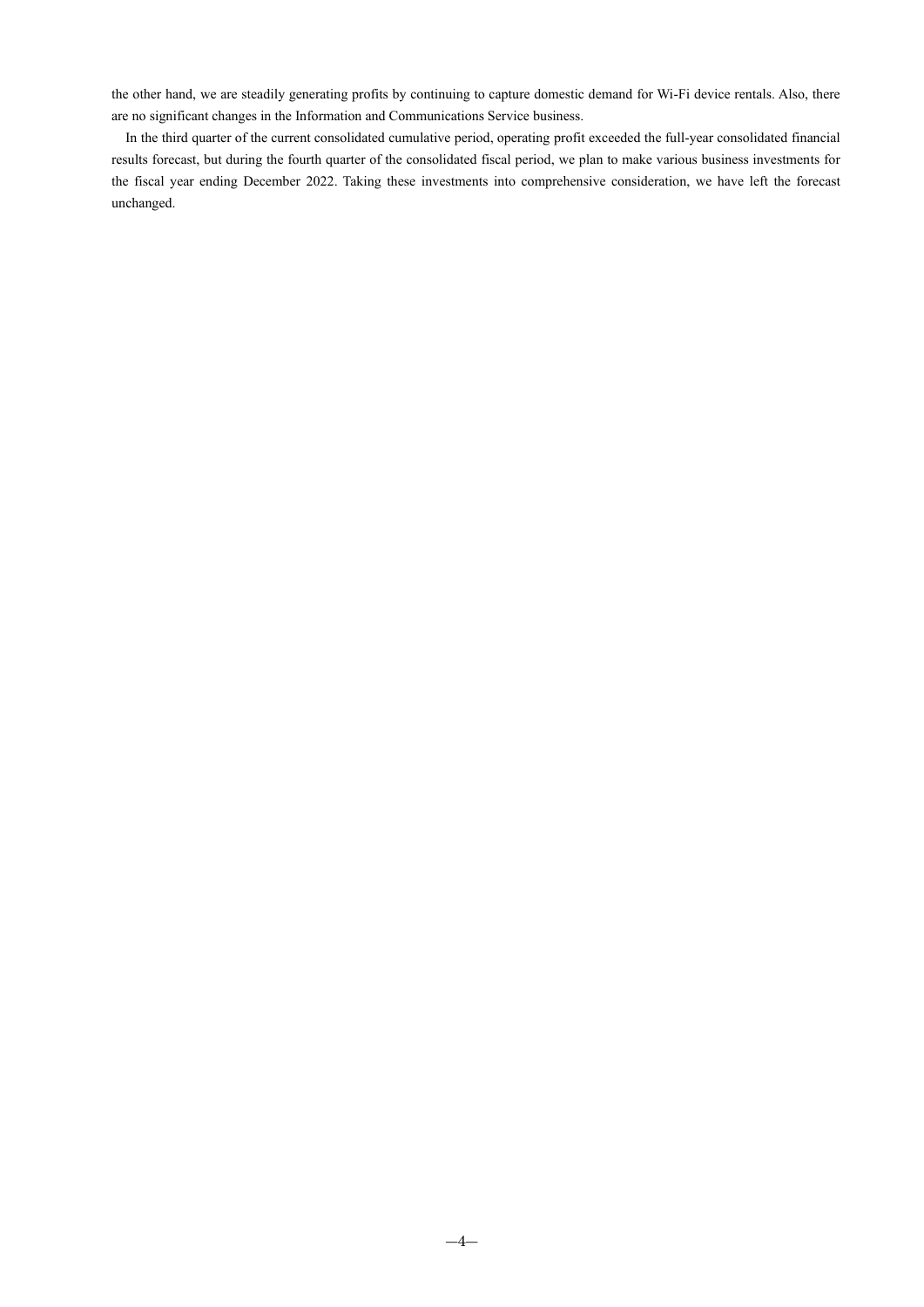the other hand, we are steadily generating profits by continuing to capture domestic demand for Wi-Fi device rentals. Also, there are no significant changes in the Information and Communications Service business.

In the third quarter of the current consolidated cumulative period, operating profit exceeded the full-year consolidated financial results forecast, but during the fourth quarter of the consolidated fiscal period, we plan to make various business investments for the fiscal year ending December 2022. Taking these investments into comprehensive consideration, we have left the forecast unchanged.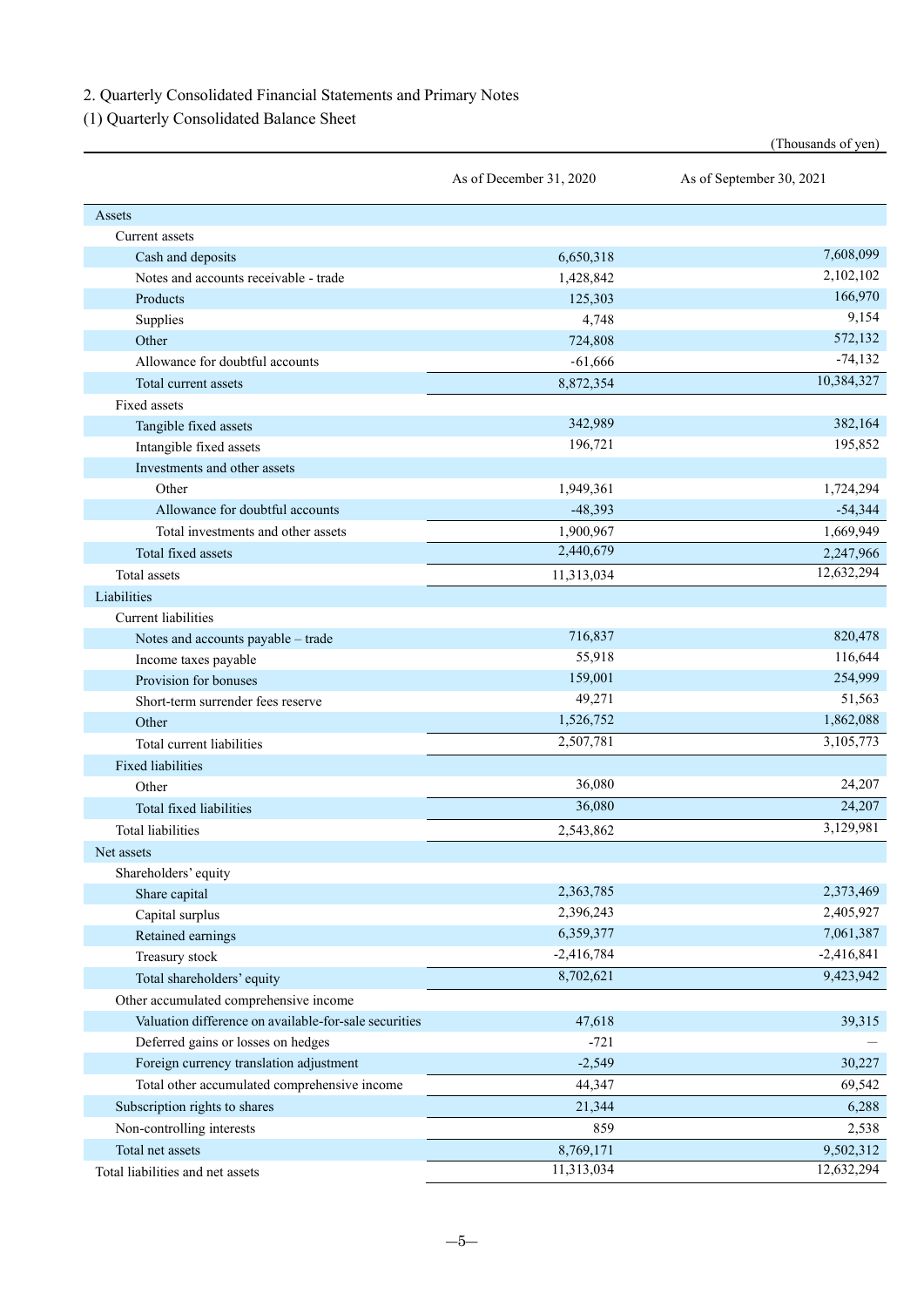2. Quarterly Consolidated Financial Statements and Primary Notes

(1) Quarterly Consolidated Balance Sheet

|                                                       | As of December 31, 2020 | As of September 30, 2021 |  |
|-------------------------------------------------------|-------------------------|--------------------------|--|
| Assets                                                |                         |                          |  |
| Current assets                                        |                         |                          |  |
| Cash and deposits                                     | 6,650,318               | 7,608,099                |  |
| Notes and accounts receivable - trade                 | 1,428,842               | 2,102,102                |  |
| Products                                              | 125,303                 | 166,970                  |  |
| Supplies                                              | 4,748                   | 9,154                    |  |
| Other                                                 | 724,808                 | 572,132                  |  |
| Allowance for doubtful accounts                       | $-61,666$               | $-74,132$                |  |
| Total current assets                                  | 8,872,354               | 10,384,327               |  |
| Fixed assets                                          |                         |                          |  |
| Tangible fixed assets                                 | 342,989                 | 382,164                  |  |
| Intangible fixed assets                               | 196,721                 | 195,852                  |  |
| Investments and other assets                          |                         |                          |  |
| Other                                                 | 1,949,361               | 1,724,294                |  |
| Allowance for doubtful accounts                       | $-48,393$               | $-54,344$                |  |
| Total investments and other assets                    | 1,900,967               | 1,669,949                |  |
| Total fixed assets                                    | 2,440,679               | 2,247,966                |  |
| Total assets                                          | 11,313,034              | 12,632,294               |  |
| Liabilities                                           |                         |                          |  |
| <b>Current liabilities</b>                            |                         |                          |  |
| Notes and accounts payable - trade                    | 716,837                 | 820,478                  |  |
| Income taxes payable                                  | 55,918                  | 116,644                  |  |
| Provision for bonuses                                 | 159,001                 | 254,999                  |  |
| Short-term surrender fees reserve                     | 49,271                  | 51,563                   |  |
| Other                                                 | 1,526,752               | 1,862,088                |  |
| Total current liabilities                             | 2,507,781               | 3,105,773                |  |
| Fixed liabilities                                     |                         |                          |  |
| Other                                                 | 36,080                  | 24,207                   |  |
| Total fixed liabilities                               | 36,080                  | 24,207                   |  |
| <b>Total liabilities</b>                              | 2,543,862               | 3,129,981                |  |
| Net assets                                            |                         |                          |  |
| Shareholders' equity                                  |                         |                          |  |
| Share capital                                         | 2,363,785               | 2,373,469                |  |
| Capital surplus                                       | 2,396,243               | 2,405,927                |  |
| Retained earnings                                     | 6,359,377               | 7,061,387                |  |
| Treasury stock                                        | $-2,416,784$            | $-2,416,841$             |  |
| Total shareholders' equity                            | 8,702,621               | 9,423,942                |  |
| Other accumulated comprehensive income                |                         |                          |  |
| Valuation difference on available-for-sale securities | 47,618                  | 39,315                   |  |
| Deferred gains or losses on hedges                    | $-721$                  |                          |  |
| Foreign currency translation adjustment               | $-2,549$                | 30,227                   |  |
| Total other accumulated comprehensive income          | 44,347                  | 69,542                   |  |
| Subscription rights to shares                         | 21,344                  | 6,288                    |  |
| Non-controlling interests                             | 859                     | 2,538                    |  |
| Total net assets                                      | 8,769,171               | 9,502,312                |  |
| Total liabilities and net assets                      | 11,313,034              | 12,632,294               |  |

(Thousands of yen)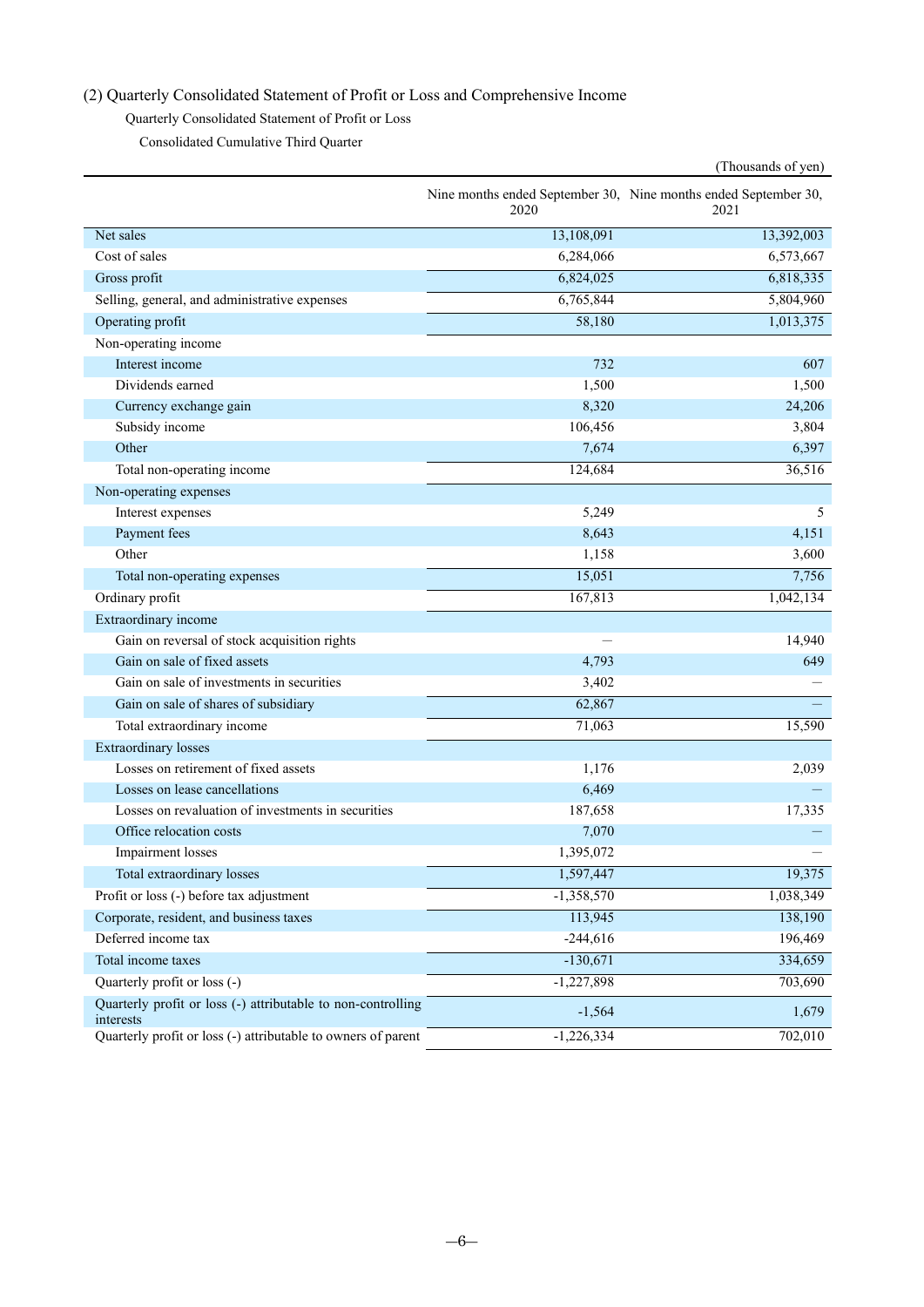# (2) Quarterly Consolidated Statement of Profit or Loss and Comprehensive Income

Quarterly Consolidated Statement of Profit or Loss

Consolidated Cumulative Third Quarter

|                                                                           |              | (Thousands of yen)                                                      |
|---------------------------------------------------------------------------|--------------|-------------------------------------------------------------------------|
|                                                                           | 2020         | Nine months ended September 30, Nine months ended September 30,<br>2021 |
| Net sales                                                                 | 13,108,091   | 13,392,003                                                              |
| Cost of sales                                                             | 6,284,066    | 6,573,667                                                               |
| Gross profit                                                              | 6,824,025    | 6,818,335                                                               |
| Selling, general, and administrative expenses                             | 6,765,844    | 5,804,960                                                               |
| Operating profit                                                          | 58,180       | 1,013,375                                                               |
| Non-operating income                                                      |              |                                                                         |
| Interest income                                                           | 732          | 607                                                                     |
| Dividends earned                                                          | 1,500        | 1,500                                                                   |
| Currency exchange gain                                                    | 8,320        | 24,206                                                                  |
| Subsidy income                                                            | 106,456      | 3,804                                                                   |
| Other                                                                     | 7,674        | 6,397                                                                   |
| Total non-operating income                                                | 124,684      | 36,516                                                                  |
| Non-operating expenses                                                    |              |                                                                         |
| Interest expenses                                                         | 5,249        | 5                                                                       |
| Payment fees                                                              | 8,643        | 4,151                                                                   |
| Other                                                                     | 1,158        | 3,600                                                                   |
| Total non-operating expenses                                              | 15,051       | 7,756                                                                   |
| Ordinary profit                                                           | 167,813      | 1,042,134                                                               |
| Extraordinary income                                                      |              |                                                                         |
| Gain on reversal of stock acquisition rights                              |              | 14,940                                                                  |
| Gain on sale of fixed assets                                              | 4,793        | 649                                                                     |
| Gain on sale of investments in securities                                 | 3,402        |                                                                         |
| Gain on sale of shares of subsidiary                                      | 62,867       |                                                                         |
| Total extraordinary income                                                | 71,063       | 15,590                                                                  |
| <b>Extraordinary losses</b>                                               |              |                                                                         |
| Losses on retirement of fixed assets                                      | 1,176        | 2,039                                                                   |
| Losses on lease cancellations                                             | 6,469        |                                                                         |
| Losses on revaluation of investments in securities                        | 187,658      | 17,335                                                                  |
| Office relocation costs                                                   | 7,070        |                                                                         |
| Impairment losses                                                         | 1,395,072    |                                                                         |
| Total extraordinary losses                                                | 1,597,447    | 19,375                                                                  |
| Profit or loss (-) before tax adjustment                                  | $-1,358,570$ | 1,038,349                                                               |
| Corporate, resident, and business taxes                                   | 113,945      | 138,190                                                                 |
| Deferred income tax                                                       | $-244,616$   | 196,469                                                                 |
| Total income taxes                                                        | $-130,671$   | 334,659                                                                 |
| Quarterly profit or loss (-)                                              | $-1,227,898$ | 703,690                                                                 |
| Quarterly profit or loss (-) attributable to non-controlling<br>interests | $-1,564$     | 1,679                                                                   |
| Quarterly profit or loss (-) attributable to owners of parent             | $-1,226,334$ | 702,010                                                                 |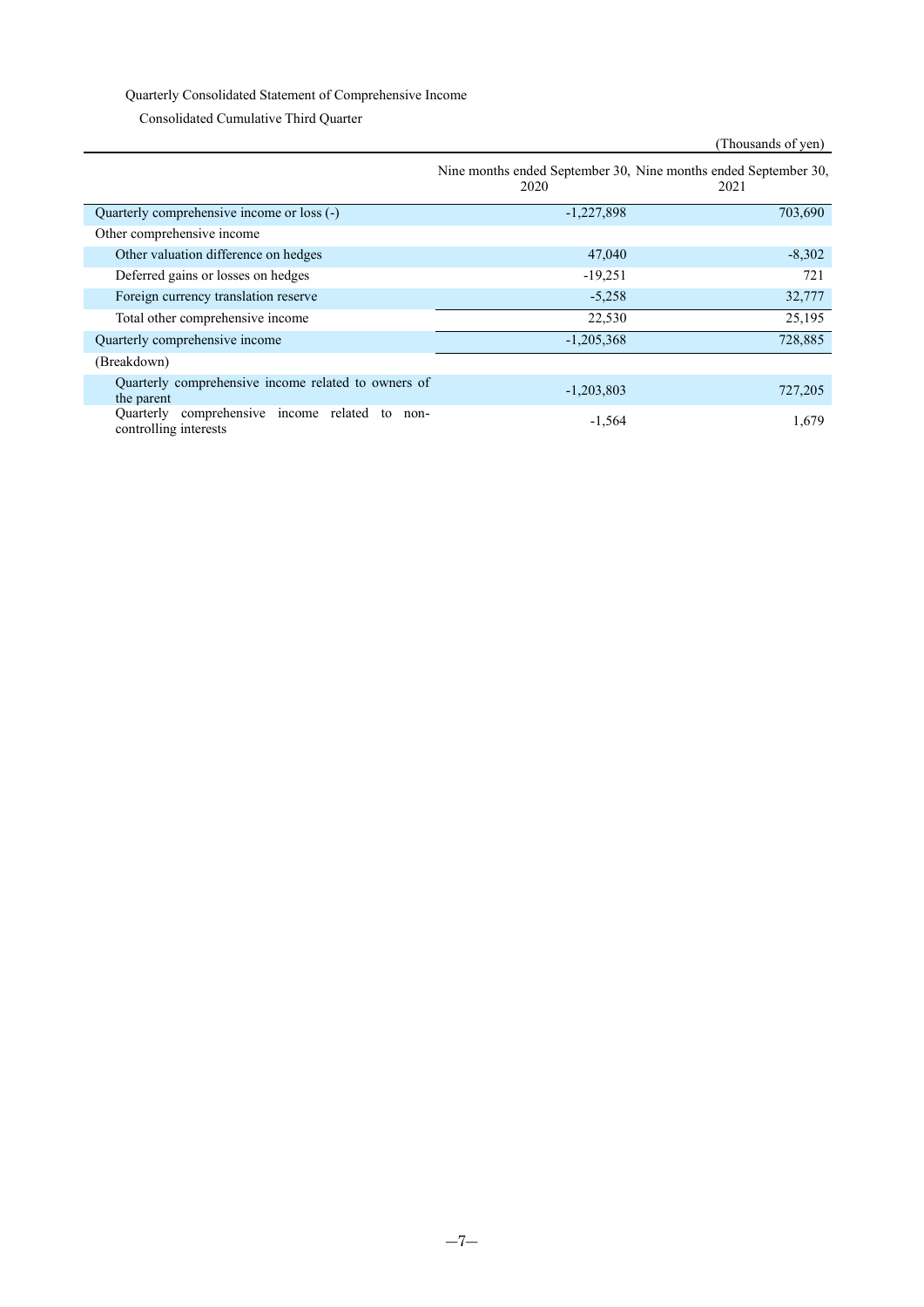## Quarterly Consolidated Statement of Comprehensive Income

Consolidated Cumulative Third Quarter

## (Thousands of yen)

|                                                                               | Nine months ended September 30, Nine months ended September 30,<br>2020 | 2021     |
|-------------------------------------------------------------------------------|-------------------------------------------------------------------------|----------|
| Quarterly comprehensive income or loss (-)                                    | $-1,227,898$                                                            | 703,690  |
| Other comprehensive income                                                    |                                                                         |          |
| Other valuation difference on hedges                                          | 47,040                                                                  | $-8,302$ |
| Deferred gains or losses on hedges                                            | $-19,251$                                                               | 721      |
| Foreign currency translation reserve                                          | $-5,258$                                                                | 32,777   |
| Total other comprehensive income                                              | 22,530                                                                  | 25,195   |
| Quarterly comprehensive income                                                | $-1,205,368$                                                            | 728,885  |
| (Breakdown)                                                                   |                                                                         |          |
| Quarterly comprehensive income related to owners of<br>the parent             | $-1,203,803$                                                            | 727,205  |
| comprehensive income related to<br>Quarterly<br>non-<br>controlling interests | $-1,564$                                                                | 1,679    |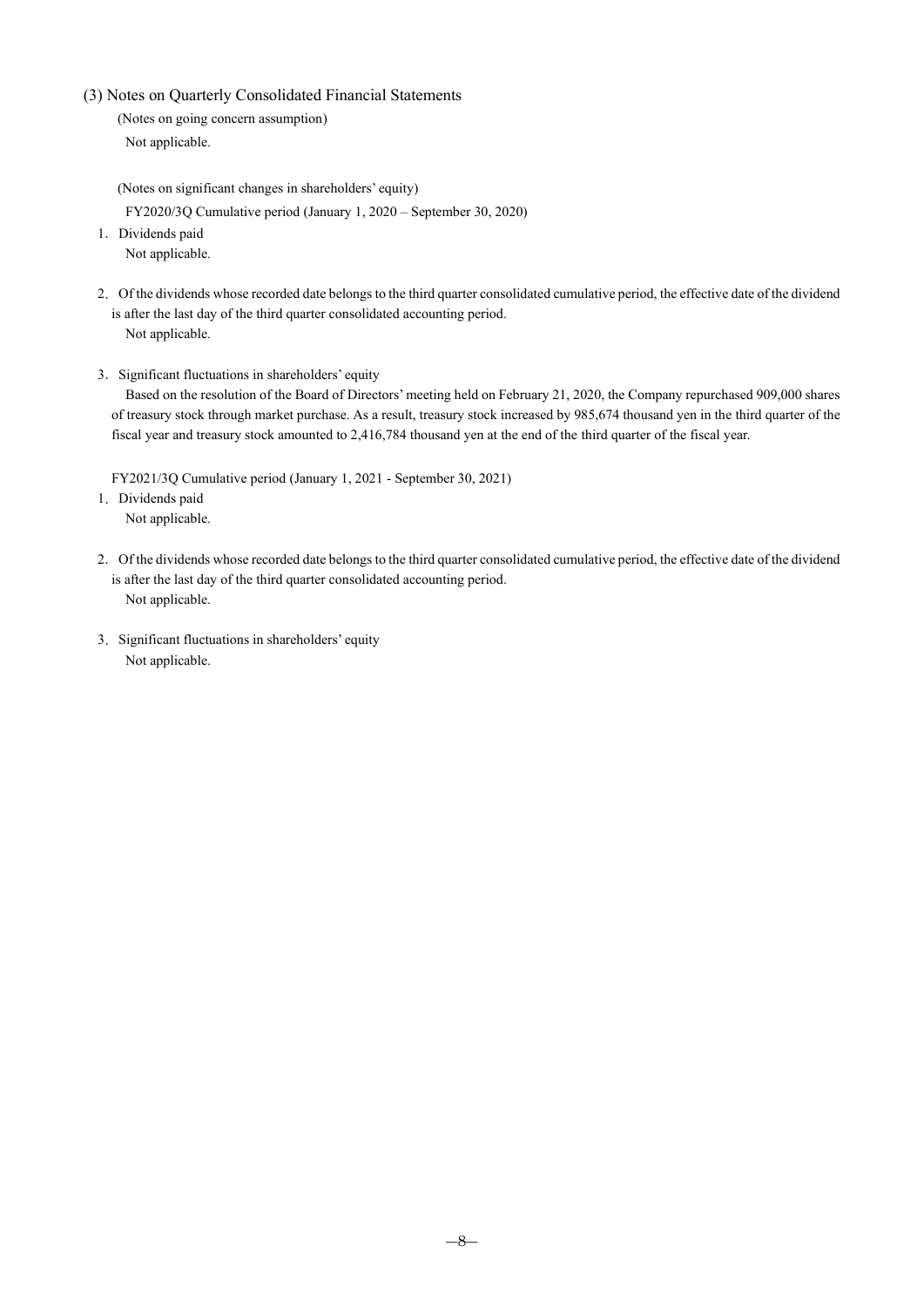(3) Notes on Quarterly Consolidated Financial Statements

(Notes on going concern assumption) Not applicable.

(Notes on significant changes in shareholders' equity)

FY2020/3Q Cumulative period (January 1, 2020 – September 30, 2020)

- 1.Dividends paid Not applicable.
- 2.Of the dividends whose recorded date belongs to the third quarter consolidated cumulative period, the effective date of the dividend is after the last day of the third quarter consolidated accounting period. Not applicable.
- 3.Significant fluctuations in shareholders' equity

Based on the resolution of the Board of Directors' meeting held on February 21, 2020, the Company repurchased 909,000 shares of treasury stock through market purchase. As a result, treasury stock increased by 985,674 thousand yen in the third quarter of the fiscal year and treasury stock amounted to 2,416,784 thousand yen at the end of the third quarter of the fiscal year.

FY2021/3Q Cumulative period (January 1, 2021 - September 30, 2021)

- 1.Dividends paid Not applicable.
- 2. Of the dividends whose recorded date belongs to the third quarter consolidated cumulative period, the effective date of the dividend is after the last day of the third quarter consolidated accounting period. Not applicable.
- 3.Significant fluctuations in shareholders' equity Not applicable.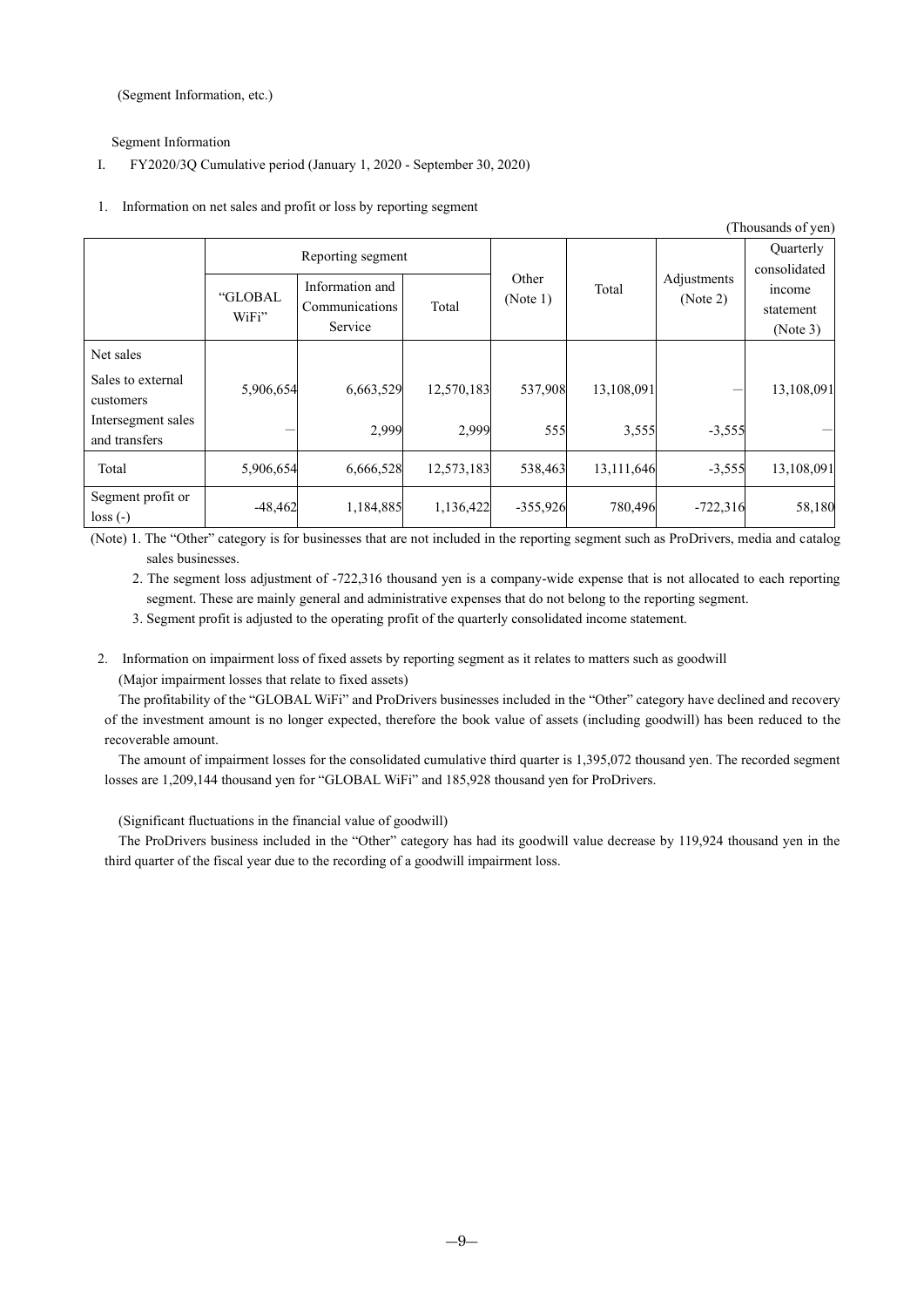(Segment Information, etc.)

Segment Information

#### I. FY2020/3Q Cumulative period (January 1, 2020 - September 30, 2020)

### 1. Information on net sales and profit or loss by reporting segment

|                                     |                   |                                              |            |                   |            |                                  | (Thousands of yen)              |
|-------------------------------------|-------------------|----------------------------------------------|------------|-------------------|------------|----------------------------------|---------------------------------|
|                                     | Reporting segment |                                              |            |                   |            | <b>Ouarterly</b><br>consolidated |                                 |
|                                     | "GLOBAL<br>WiFi"  | Information and<br>Communications<br>Service | Total      | Other<br>(Note 1) | Total      | Adjustments<br>(Note 2)          | income<br>statement<br>(Note 3) |
| Net sales                           |                   |                                              |            |                   |            |                                  |                                 |
| Sales to external<br>customers      | 5,906,654         | 6,663,529                                    | 12,570,183 | 537,908           | 13,108,091 |                                  | 13,108,091                      |
| Intersegment sales<br>and transfers |                   | 2,999                                        | 2,999      | 555               | 3,555      | $-3,555$                         |                                 |
| Total                               | 5,906,654         | 6,666,528                                    | 12,573,183 | 538,463           | 13,111,646 | $-3,555$                         | 13,108,091                      |
| Segment profit or<br>$loss(-)$      | $-48,462$         | 1,184,885                                    | 1,136,422  | $-355,926$        | 780,496    | $-722,316$                       | 58,180                          |

(Note) 1. The "Other" category is for businesses that are not included in the reporting segment such as ProDrivers, media and catalog sales businesses.

2. The segment loss adjustment of -722,316 thousand yen is a company-wide expense that is not allocated to each reporting segment. These are mainly general and administrative expenses that do not belong to the reporting segment.

3. Segment profit is adjusted to the operating profit of the quarterly consolidated income statement.

2. Information on impairment loss of fixed assets by reporting segment as it relates to matters such as goodwill (Major impairment losses that relate to fixed assets)

The profitability of the "GLOBAL WiFi" and ProDrivers businesses included in the "Other" category have declined and recovery of the investment amount is no longer expected, therefore the book value of assets (including goodwill) has been reduced to the recoverable amount.

The amount of impairment losses for the consolidated cumulative third quarter is 1,395,072 thousand yen. The recorded segment losses are 1,209,144 thousand yen for "GLOBAL WiFi" and 185,928 thousand yen for ProDrivers.

(Significant fluctuations in the financial value of goodwill)

The ProDrivers business included in the "Other" category has had its goodwill value decrease by 119,924 thousand yen in the third quarter of the fiscal year due to the recording of a goodwill impairment loss.